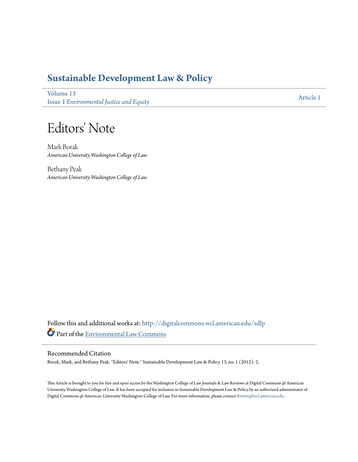### **[Sustainable Development Law & Policy](http://digitalcommons.wcl.american.edu/sdlp?utm_source=digitalcommons.wcl.american.edu%2Fsdlp%2Fvol13%2Fiss1%2F1&utm_medium=PDF&utm_campaign=PDFCoverPages)**

[Volume 13](http://digitalcommons.wcl.american.edu/sdlp/vol13?utm_source=digitalcommons.wcl.american.edu%2Fsdlp%2Fvol13%2Fiss1%2F1&utm_medium=PDF&utm_campaign=PDFCoverPages) Issue 1 *[Environmental Justice and Equity](http://digitalcommons.wcl.american.edu/sdlp/vol13/iss1?utm_source=digitalcommons.wcl.american.edu%2Fsdlp%2Fvol13%2Fiss1%2F1&utm_medium=PDF&utm_campaign=PDFCoverPages)*

[Article 1](http://digitalcommons.wcl.american.edu/sdlp/vol13/iss1/1?utm_source=digitalcommons.wcl.american.edu%2Fsdlp%2Fvol13%2Fiss1%2F1&utm_medium=PDF&utm_campaign=PDFCoverPages)

## Editors' Note

Mark Borak *American University Washington College of Law*

Bethany Peak *American University Washington College of Law*

Follow this and additional works at: [http://digitalcommons.wcl.american.edu/sdlp](http://digitalcommons.wcl.american.edu/sdlp?utm_source=digitalcommons.wcl.american.edu%2Fsdlp%2Fvol13%2Fiss1%2F1&utm_medium=PDF&utm_campaign=PDFCoverPages) Part of the [Environmental Law Commons](http://network.bepress.com/hgg/discipline/599?utm_source=digitalcommons.wcl.american.edu%2Fsdlp%2Fvol13%2Fiss1%2F1&utm_medium=PDF&utm_campaign=PDFCoverPages)

#### Recommended Citation

Borak, Mark, and Bethany Peak. "Editors' Note." Sustainable Development Law & Policy 13, no. 1 (2012): 2.

This Article is brought to you for free and open access by the Washington College of Law Journals & Law Reviews at Digital Commons @ American University Washington College of Law. It has been accepted for inclusion in Sustainable Development Law & Policy by an authorized administrator of Digital Commons @ American University Washington College of Law. For more information, please contact [fbrown@wcl.american.edu](mailto:fbrown@wcl.american.edu).